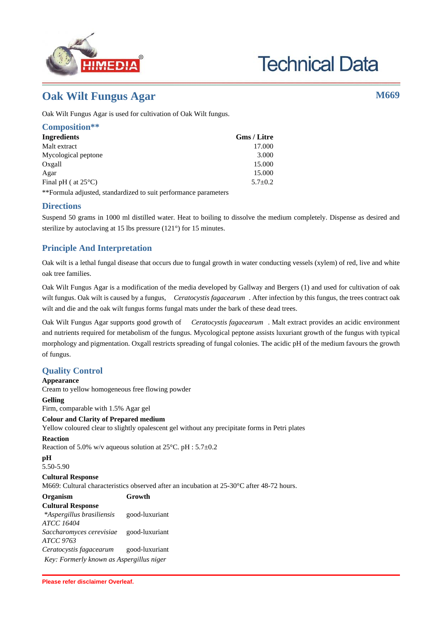

# **Technical Data**

# **Oak Wilt Fungus Agar M669**

Oak Wilt Fungus Agar is used for cultivation of Oak Wilt fungus.

| Composition**                 |               |
|-------------------------------|---------------|
| <b>Ingredients</b>            | Gms / Litre   |
| Malt extract                  | 17.000        |
| Mycological peptone           | 3.000         |
| Oxgall                        | 15.000        |
| Agar                          | 15.000        |
| Final pH ( $at 25^{\circ}$ C) | $5.7 \pm 0.2$ |
|                               |               |

\*\*Formula adjusted, standardized to suit performance parameters

### **Directions**

Suspend 50 grams in 1000 ml distilled water. Heat to boiling to dissolve the medium completely. Dispense as desired and sterilize by autoclaving at 15 lbs pressure (121°) for 15 minutes.

## **Principle And Interpretation**

Oak wilt is a lethal fungal disease that occurs due to fungal growth in water conducting vessels (xylem) of red, live and white oak tree families.

Oak Wilt Fungus Agar is a modification of the media developed by Gallway and Bergers (1) and used for cultivation of oak wilt fungus. Oak wilt is caused by a fungus, *Ceratocystis fagacearum* . After infection by this fungus, the trees contract oak wilt and die and the oak wilt fungus forms fungal mats under the bark of these dead trees.

Oak Wilt Fungus Agar supports good growth of *Ceratocystis fagacearum* . Malt extract provides an acidic environment and nutrients required for metabolism of the fungus. Mycological peptone assists luxuriant growth of the fungus with typical morphology and pigmentation. Oxgall restricts spreading of fungal colonies. The acidic pH of the medium favours the growth of fungus.

# **Quality Control**

# **Appearance** Cream to yellow homogeneous free flowing powder

**Gelling** Firm, comparable with 1.5% Agar gel

#### **Colour and Clarity of Prepared medium**

Yellow coloured clear to slightly opalescent gel without any precipitate forms in Petri plates

#### **Reaction**

Reaction of 5.0% w/v aqueous solution at 25°C. pH : 5.7±0.2

#### **pH**

5.50-5.90

#### **Cultural Response**

M669: Cultural characteristics observed after an incubation at 25-30°C after 48-72 hours.

| Organism                                 | Growth         |
|------------------------------------------|----------------|
| <b>Cultural Response</b>                 |                |
| *Aspergillus brasiliensis                | good-luxuriant |
| <b>ATCC 16404</b>                        |                |
| Saccharomyces cerevisiae                 | good-luxuriant |
| ATCC 9763                                |                |
| Ceratocystis fagacearum                  | good-luxuriant |
| Key: Formerly known as Aspergillus niger |                |